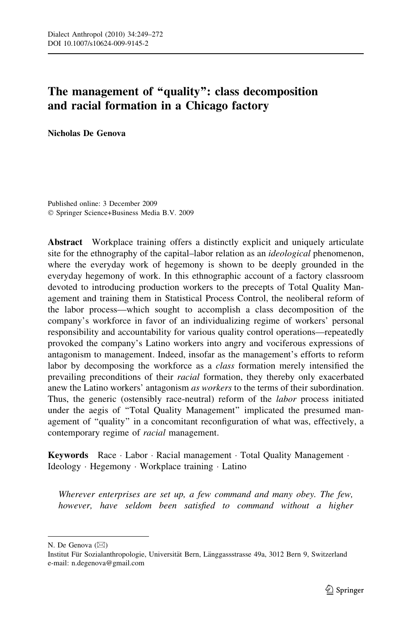# The management of "quality": class decomposition and racial formation in a Chicago factory

Nicholas De Genova

Published online: 3 December 2009 - Springer Science+Business Media B.V. 2009

Abstract Workplace training offers a distinctly explicit and uniquely articulate site for the ethnography of the capital–labor relation as an *ideological* phenomenon, where the everyday work of hegemony is shown to be deeply grounded in the everyday hegemony of work. In this ethnographic account of a factory classroom devoted to introducing production workers to the precepts of Total Quality Management and training them in Statistical Process Control, the neoliberal reform of the labor process—which sought to accomplish a class decomposition of the company's workforce in favor of an individualizing regime of workers' personal responsibility and accountability for various quality control operations—repeatedly provoked the company's Latino workers into angry and vociferous expressions of antagonism to management. Indeed, insofar as the management's efforts to reform labor by decomposing the workforce as a *class* formation merely intensified the prevailing preconditions of their *racial* formation, they thereby only exacerbated anew the Latino workers' antagonism *as workers* to the terms of their subordination. Thus, the generic (ostensibly race-neutral) reform of the labor process initiated under the aegis of "Total Quality Management" implicated the presumed management of ''quality'' in a concomitant reconfiguration of what was, effectively, a contemporary regime of *racial* management.

Keywords Race · Labor · Racial management · Total Quality Management · Ideology - Hegemony - Workplace training - Latino

Wherever enterprises are set up, a few command and many obey. The few, however, have seldom been satisfied to command without a higher

N. De Genova  $(\boxtimes)$ 

Institut Für Sozialanthropologie, Universität Bern, Länggassstrasse 49a, 3012 Bern 9, Switzerland e-mail: n.degenova@gmail.com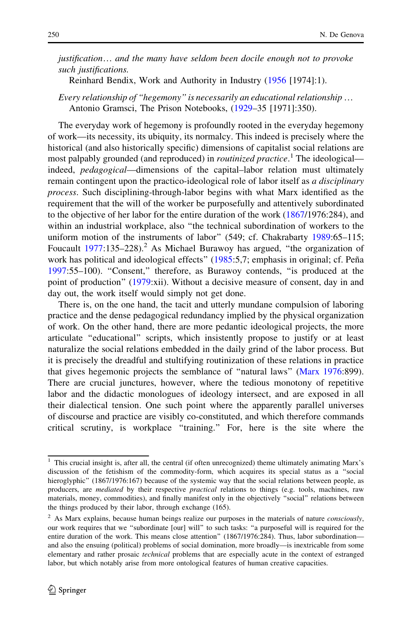justification… and the many have seldom been docile enough not to provoke such justifications.

Reinhard Bendix, Work and Authority in Industry ([1956](#page-21-0) [1974]:1).

Every relationship of ''hegemony'' is necessarily an educational relationship … Antonio Gramsci, The Prison Notebooks, ([1929–](#page-22-0)35 [1971]:350).

The everyday work of hegemony is profoundly rooted in the everyday hegemony of work—its necessity, its ubiquity, its normalcy. This indeed is precisely where the historical (and also historically specific) dimensions of capitalist social relations are most palpably grounded (and reproduced) in *routinized practice*.<sup>1</sup> The ideological indeed, *pedagogical*—dimensions of the capital–labor relation must ultimately remain contingent upon the practico-ideological role of labor itself as a disciplinary process. Such disciplining-through-labor begins with what Marx identified as the requirement that the will of the worker be purposefully and attentively subordinated to the objective of her labor for the entire duration of the work [\(1867](#page-22-0)/1976:284), and within an industrial workplace, also ''the technical subordination of workers to the uniform motion of the instruments of labor" (549; cf. Chakrabarty [1989:](#page-21-0)65-115; Foucault  $1977:135-228$  $1977:135-228$ ).<sup>2</sup> As Michael Burawoy has argued, "the organization of work has political and ideological effects"  $(1985:5,7)$  $(1985:5,7)$ ; emphasis in original; cf. Peña [1997:](#page-22-0)55–100). ''Consent,'' therefore, as Burawoy contends, ''is produced at the point of production'' ([1979:](#page-21-0)xii). Without a decisive measure of consent, day in and day out, the work itself would simply not get done.

There is, on the one hand, the tacit and utterly mundane compulsion of laboring practice and the dense pedagogical redundancy implied by the physical organization of work. On the other hand, there are more pedantic ideological projects, the more articulate ''educational'' scripts, which insistently propose to justify or at least naturalize the social relations embedded in the daily grind of the labor process. But it is precisely the dreadful and stultifying routinization of these relations in practice that gives hegemonic projects the semblance of ''natural laws'' [\(Marx 1976:](#page-22-0)899). There are crucial junctures, however, where the tedious monotony of repetitive labor and the didactic monologues of ideology intersect, and are exposed in all their dialectical tension. One such point where the apparently parallel universes of discourse and practice are visibly co-constituted, and which therefore commands critical scrutiny, is workplace ''training.'' For, here is the site where the

 $1$  This crucial insight is, after all, the central (if often unrecognized) theme ultimately animating Marx's discussion of the fetishism of the commodity-form, which acquires its special status as a ''social hieroglyphic" (1867/1976:167) because of the systemic way that the social relations between people, as producers, are *mediated* by their respective practical relations to things (e.g. tools, machines, raw materials, money, commodities), and finally manifest only in the objectively ''social'' relations between the things produced by their labor, through exchange (165).

 $2$  As Marx explains, because human beings realize our purposes in the materials of nature *consciously*, our work requires that we ''subordinate [our] will'' to such tasks: ''a purposeful will is required for the entire duration of the work. This means close attention" (1867/1976:284). Thus, labor subordination and also the ensuing (political) problems of social domination, more broadly—is inextricable from some elementary and rather prosaic *technical* problems that are especially acute in the context of estranged labor, but which notably arise from more ontological features of human creative capacities.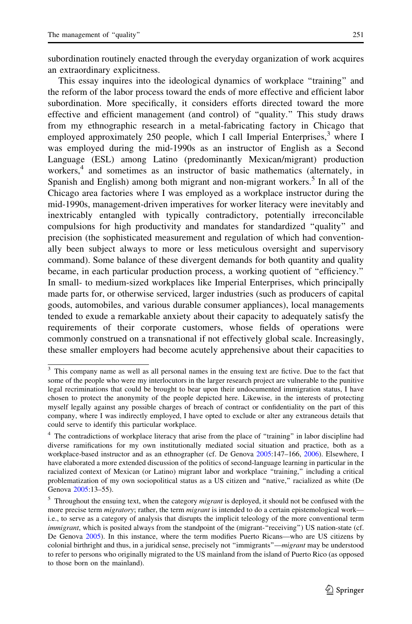subordination routinely enacted through the everyday organization of work acquires an extraordinary explicitness.

This essay inquires into the ideological dynamics of workplace ''training'' and the reform of the labor process toward the ends of more effective and efficient labor subordination. More specifically, it considers efforts directed toward the more effective and efficient management (and control) of ''quality.'' This study draws from my ethnographic research in a metal-fabricating factory in Chicago that employed approximately 250 people, which I call Imperial Enterprises,  $3$  where I was employed during the mid-1990s as an instructor of English as a Second Language (ESL) among Latino (predominantly Mexican/migrant) production workers,<sup>4</sup> and sometimes as an instructor of basic mathematics (alternately, in Spanish and English) among both migrant and non-migrant workers.<sup>5</sup> In all of the Chicago area factories where I was employed as a workplace instructor during the mid-1990s, management-driven imperatives for worker literacy were inevitably and inextricably entangled with typically contradictory, potentially irreconcilable compulsions for high productivity and mandates for standardized ''quality'' and precision (the sophisticated measurement and regulation of which had conventionally been subject always to more or less meticulous oversight and supervisory command). Some balance of these divergent demands for both quantity and quality became, in each particular production process, a working quotient of ''efficiency.'' In small- to medium-sized workplaces like Imperial Enterprises, which principally made parts for, or otherwise serviced, larger industries (such as producers of capital goods, automobiles, and various durable consumer appliances), local managements tended to exude a remarkable anxiety about their capacity to adequately satisfy the requirements of their corporate customers, whose fields of operations were commonly construed on a transnational if not effectively global scale. Increasingly, these smaller employers had become acutely apprehensive about their capacities to

<sup>&</sup>lt;sup>3</sup> This company name as well as all personal names in the ensuing text are fictive. Due to the fact that some of the people who were my interlocutors in the larger research project are vulnerable to the punitive legal recriminations that could be brought to bear upon their undocumented immigration status, I have chosen to protect the anonymity of the people depicted here. Likewise, in the interests of protecting myself legally against any possible charges of breach of contract or confidentiality on the part of this company, where I was indirectly employed, I have opted to exclude or alter any extraneous details that could serve to identify this particular workplace.

<sup>&</sup>lt;sup>4</sup> The contradictions of workplace literacy that arise from the place of "training" in labor discipline had diverse ramifications for my own institutionally mediated social situation and practice, both as a workplace-based instructor and as an ethnographer (cf. De Genova [2005](#page-21-0):147-166, [2006](#page-21-0)). Elsewhere, I have elaborated a more extended discussion of the politics of second-language learning in particular in the racialized context of Mexican (or Latino) migrant labor and workplace ''training,'' including a critical problematization of my own sociopolitical status as a US citizen and ''native,'' racialized as white (De Genova [2005](#page-21-0):13–55).

 $5$  Throughout the ensuing text, when the category *migrant* is deployed, it should not be confused with the more precise term *migratory*; rather, the term *migrant* is intended to do a certain epistemological work i.e., to serve as a category of analysis that disrupts the implicit teleology of the more conventional term immigrant, which is posited always from the standpoint of the (migrant-"receiving") US nation-state (cf. De Genova [2005](#page-21-0)). In this instance, where the term modifies Puerto Ricans—who are US citizens by colonial birthright and thus, in a juridical sense, precisely not "immigrants"—migrant may be understood to refer to persons who originally migrated to the US mainland from the island of Puerto Rico (as opposed to those born on the mainland).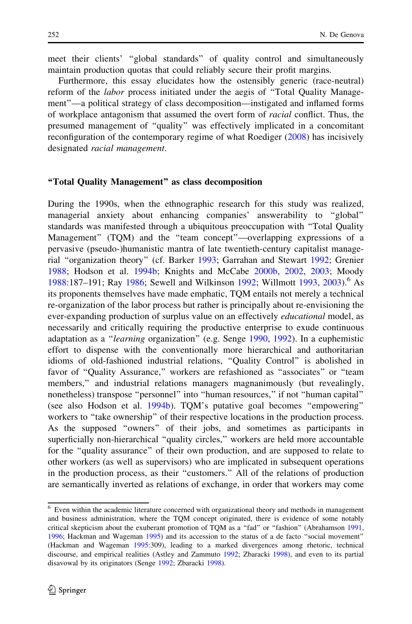meet their clients' ''global standards'' of quality control and simultaneously maintain production quotas that could reliably secure their profit margins.

Furthermore, this essay elucidates how the ostensibly generic (race-neutral) reform of the labor process initiated under the aegis of ''Total Quality Management''—a political strategy of class decomposition—instigated and inflamed forms of workplace antagonism that assumed the overt form of racial conflict. Thus, the presumed management of ''quality'' was effectively implicated in a concomitant reconfiguration of the contemporary regime of what Roediger [\(2008\)](#page-22-0) has incisively designated racial management.

#### ''Total Quality Management'' as class decomposition

During the 1990s, when the ethnographic research for this study was realized, managerial anxiety about enhancing companies' answerability to ''global'' standards was manifested through a ubiquitous preoccupation with ''Total Quality Management" (TQM) and the "team concept"—overlapping expressions of a pervasive (pseudo-)humanistic mantra of late twentieth-century capitalist managerial ''organization theory'' (cf. Barker [1993;](#page-21-0) Garrahan and Stewart [1992](#page-21-0); Grenier [1988;](#page-22-0) Hodson et al. [1994b;](#page-22-0) Knights and McCabe [2000b](#page-22-0), [2002,](#page-22-0) [2003;](#page-22-0) Moody [1988:](#page-22-0)187–191; Ray [1986](#page-22-0); Sewell and Wilkinson [1992](#page-23-0); Willmott [1993,](#page-23-0) [2003\)](#page-23-0).<sup>6</sup> As its proponents themselves have made emphatic, TQM entails not merely a technical re-organization of the labor process but rather is principally about re-envisioning the ever-expanding production of surplus value on an effectively educational model, as necessarily and critically requiring the productive enterprise to exude continuous adaptation as a ''learning organization'' (e.g. Senge [1990,](#page-23-0) [1992](#page-23-0)). In a euphemistic effort to dispense with the conventionally more hierarchical and authoritarian idioms of old-fashioned industrial relations, ''Quality Control'' is abolished in favor of ''Quality Assurance,'' workers are refashioned as ''associates'' or ''team members," and industrial relations managers magnanimously (but revealingly, nonetheless) transpose ''personnel'' into ''human resources,'' if not ''human capital'' (see also Hodson et al. [1994b\)](#page-22-0). TQM's putative goal becomes ''empowering'' workers to "take ownership" of their respective locations in the production process. As the supposed ''owners'' of their jobs, and sometimes as participants in superficially non-hierarchical ''quality circles,'' workers are held more accountable for the ''quality assurance'' of their own production, and are supposed to relate to other workers (as well as supervisors) who are implicated in subsequent operations in the production process, as their ''customers.'' All of the relations of production are semantically inverted as relations of exchange, in order that workers may come

<sup>6</sup> Even within the academic literature concerned with organizational theory and methods in management and business administration, where the TQM concept originated, there is evidence of some notably critical skepticism about the exuberant promotion of TQM as a ''fad'' or ''fashion'' (Abrahamson [1991](#page-21-0), [1996;](#page-21-0) Hackman and Wageman [1995](#page-22-0)) and its accession to the status of a de facto ''social movement'' (Hackman and Wageman [1995](#page-22-0):309), leading to a marked divergences among rhetoric, technical discourse, and empirical realities (Astley and Zammuto [1992](#page-21-0); Zbaracki [1998](#page-23-0)), and even to its partial disavowal by its originators (Senge [1992;](#page-23-0) Zbaracki [1998](#page-23-0)).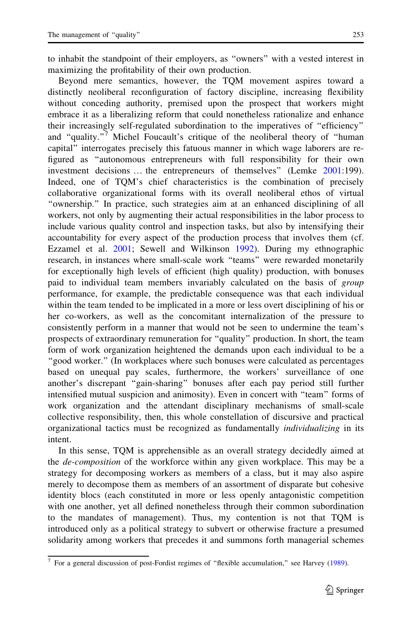to inhabit the standpoint of their employers, as ''owners'' with a vested interest in maximizing the profitability of their own production.

Beyond mere semantics, however, the TQM movement aspires toward a distinctly neoliberal reconfiguration of factory discipline, increasing flexibility without conceding authority, premised upon the prospect that workers might embrace it as a liberalizing reform that could nonetheless rationalize and enhance their increasingly self-regulated subordination to the imperatives of ''efficiency'' and "quality."<sup>7</sup> Michel Foucault's critique of the neoliberal theory of "human capital'' interrogates precisely this fatuous manner in which wage laborers are refigured as ''autonomous entrepreneurs with full responsibility for their own investment decisions … the entrepreneurs of themselves'' (Lemke [2001:](#page-22-0)199). Indeed, one of TQM's chief characteristics is the combination of precisely collaborative organizational forms with its overall neoliberal ethos of virtual ''ownership.'' In practice, such strategies aim at an enhanced disciplining of all workers, not only by augmenting their actual responsibilities in the labor process to include various quality control and inspection tasks, but also by intensifying their accountability for every aspect of the production process that involves them (cf. Ezzamel et al. [2001;](#page-21-0) Sewell and Wilkinson [1992](#page-23-0)). During my ethnographic research, in instances where small-scale work ''teams'' were rewarded monetarily for exceptionally high levels of efficient (high quality) production, with bonuses paid to individual team members invariably calculated on the basis of *group* performance, for example, the predictable consequence was that each individual within the team tended to be implicated in a more or less overt disciplining of his or her co-workers, as well as the concomitant internalization of the pressure to consistently perform in a manner that would not be seen to undermine the team's prospects of extraordinary remuneration for ''quality'' production. In short, the team form of work organization heightened the demands upon each individual to be a "good worker." (In workplaces where such bonuses were calculated as percentages based on unequal pay scales, furthermore, the workers' surveillance of one another's discrepant ''gain-sharing'' bonuses after each pay period still further intensified mutual suspicion and animosity). Even in concert with ''team'' forms of work organization and the attendant disciplinary mechanisms of small-scale collective responsibility, then, this whole constellation of discursive and practical organizational tactics must be recognized as fundamentally individualizing in its intent.

In this sense, TQM is apprehensible as an overall strategy decidedly aimed at the *de-composition* of the workforce within any given workplace. This may be a strategy for decomposing workers as members of a class, but it may also aspire merely to decompose them as members of an assortment of disparate but cohesive identity blocs (each constituted in more or less openly antagonistic competition with one another, yet all defined nonetheless through their common subordination to the mandates of management). Thus, my contention is not that TQM is introduced only as a political strategy to subvert or otherwise fracture a presumed solidarity among workers that precedes it and summons forth managerial schemes

 $<sup>7</sup>$  For a general discussion of post-Fordist regimes of "flexible accumulation," see Harvey ([1989\)](#page-22-0).</sup>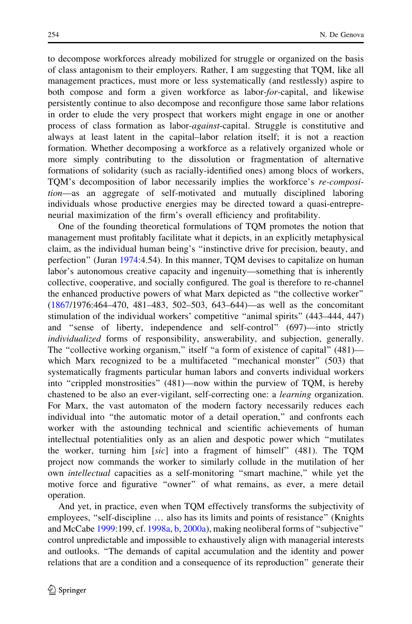to decompose workforces already mobilized for struggle or organized on the basis of class antagonism to their employers. Rather, I am suggesting that TQM, like all management practices, must more or less systematically (and restlessly) aspire to both compose and form a given workforce as labor-for-capital, and likewise persistently continue to also decompose and reconfigure those same labor relations in order to elude the very prospect that workers might engage in one or another process of class formation as labor-against-capital. Struggle is constitutive and always at least latent in the capital–labor relation itself; it is not a reaction formation. Whether decomposing a workforce as a relatively organized whole or more simply contributing to the dissolution or fragmentation of alternative formations of solidarity (such as racially-identified ones) among blocs of workers, TQM's decomposition of labor necessarily implies the workforce's re-composition—as an aggregate of self-motivated and mutually disciplined laboring individuals whose productive energies may be directed toward a quasi-entrepreneurial maximization of the firm's overall efficiency and profitability.

One of the founding theoretical formulations of TQM promotes the notion that management must profitably facilitate what it depicts, in an explicitly metaphysical claim, as the individual human being's ''instinctive drive for precision, beauty, and perfection'' (Juran [1974:](#page-22-0)4.54). In this manner, TQM devises to capitalize on human labor's autonomous creative capacity and ingenuity—something that is inherently collective, cooperative, and socially configured. The goal is therefore to re-channel the enhanced productive powers of what Marx depicted as ''the collective worker'' [\(1867](#page-22-0)/1976:464–470, 481–483, 502–503, 643–644)—as well as the concomitant stimulation of the individual workers' competitive ''animal spirits'' (443–444, 447) and ''sense of liberty, independence and self-control'' (697)—into strictly individualized forms of responsibility, answerability, and subjection, generally. The "collective working organism," itself "a form of existence of capital" (481) which Marx recognized to be a multifaceted "mechanical monster" (503) that systematically fragments particular human labors and converts individual workers into ''crippled monstrosities'' (481)—now within the purview of TQM, is hereby chastened to be also an ever-vigilant, self-correcting one: a learning organization. For Marx, the vast automaton of the modern factory necessarily reduces each individual into ''the automatic motor of a detail operation,'' and confronts each worker with the astounding technical and scientific achievements of human intellectual potentialities only as an alien and despotic power which ''mutilates the worker, turning him [sic] into a fragment of himself'' (481). The TQM project now commands the worker to similarly collude in the mutilation of her own intellectual capacities as a self-monitoring ''smart machine,'' while yet the motive force and figurative "owner" of what remains, as ever, a mere detail operation.

And yet, in practice, even when TQM effectively transforms the subjectivity of employees, ''self-discipline … also has its limits and points of resistance'' (Knights and McCabe [1999](#page-22-0):199, cf. [1998a,](#page-22-0) [b](#page-22-0), [2000a\)](#page-22-0), making neoliberal forms of ''subjective'' control unpredictable and impossible to exhaustively align with managerial interests and outlooks. ''The demands of capital accumulation and the identity and power relations that are a condition and a consequence of its reproduction'' generate their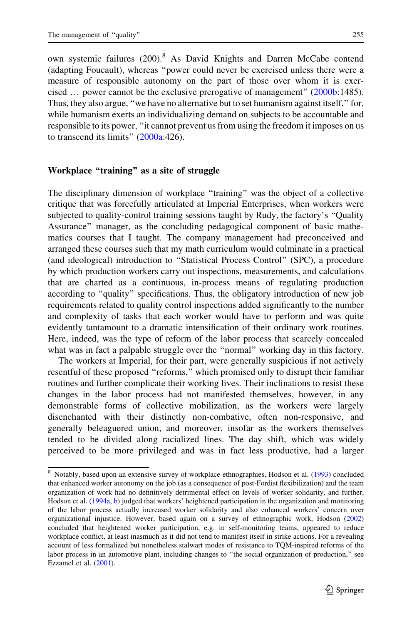own systemic failures (200).<sup>8</sup> As David Knights and Darren McCabe contend (adapting Foucault), whereas ''power could never be exercised unless there were a measure of responsible autonomy on the part of those over whom it is exercised … power cannot be the exclusive prerogative of management'' ([2000b:](#page-22-0)1485). Thus, they also argue, ''we have no alternative but to set humanism against itself,'' for, while humanism exerts an individualizing demand on subjects to be accountable and responsible to its power, ''it cannot prevent us from using the freedom it imposes on us to transcend its limits"  $(2000a:426)$  $(2000a:426)$ .

## Workplace "training" as a site of struggle

The disciplinary dimension of workplace ''training'' was the object of a collective critique that was forcefully articulated at Imperial Enterprises, when workers were subjected to quality-control training sessions taught by Rudy, the factory's ''Quality Assurance'' manager, as the concluding pedagogical component of basic mathematics courses that I taught. The company management had preconceived and arranged these courses such that my math curriculum would culminate in a practical (and ideological) introduction to ''Statistical Process Control'' (SPC), a procedure by which production workers carry out inspections, measurements, and calculations that are charted as a continuous, in-process means of regulating production according to ''quality'' specifications. Thus, the obligatory introduction of new job requirements related to quality control inspections added significantly to the number and complexity of tasks that each worker would have to perform and was quite evidently tantamount to a dramatic intensification of their ordinary work routines. Here, indeed, was the type of reform of the labor process that scarcely concealed what was in fact a palpable struggle over the ''normal'' working day in this factory.

The workers at Imperial, for their part, were generally suspicious if not actively resentful of these proposed ''reforms,'' which promised only to disrupt their familiar routines and further complicate their working lives. Their inclinations to resist these changes in the labor process had not manifested themselves, however, in any demonstrable forms of collective mobilization, as the workers were largely disenchanted with their distinctly non-combative, often non-responsive, and generally beleaguered union, and moreover, insofar as the workers themselves tended to be divided along racialized lines. The day shift, which was widely perceived to be more privileged and was in fact less productive, had a larger

<sup>&</sup>lt;sup>8</sup> Notably, based upon an extensive survey of workplace ethnographies, Hodson et al. ([1993\)](#page-22-0) concluded that enhanced worker autonomy on the job (as a consequence of post-Fordist flexibilization) and the team organization of work had no definitively detrimental effect on levels of worker solidarity, and further, Hodson et al. ([1994a](#page-22-0), [b](#page-22-0)) judged that workers' heightened participation in the organization and monitoring of the labor process actually increased worker solidarity and also enhanced workers' concern over organizational injustice. However, based again on a survey of ethnographic work, Hodson ([2002\)](#page-22-0) concluded that heightened worker participation, e.g. in self-monitoring teams, appeared to reduce workplace conflict, at least inasmuch as it did not tend to manifest itself in strike actions. For a revealing account of less formalized but nonetheless stalwart modes of resistance to TQM-inspired reforms of the labor process in an automotive plant, including changes to ''the social organization of production,'' see Ezzamel et al. ([2001\)](#page-21-0).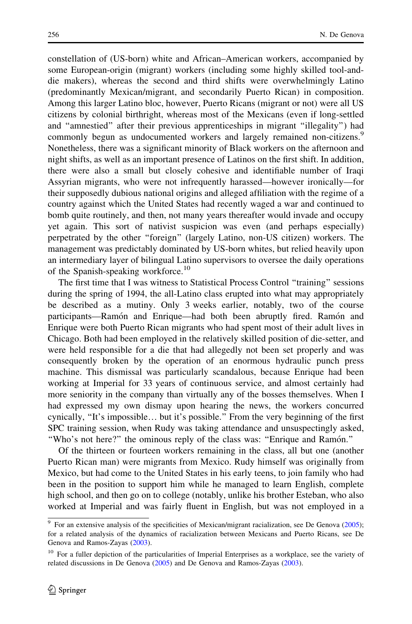constellation of (US-born) white and African–American workers, accompanied by some European-origin (migrant) workers (including some highly skilled tool-anddie makers), whereas the second and third shifts were overwhelmingly Latino (predominantly Mexican/migrant, and secondarily Puerto Rican) in composition. Among this larger Latino bloc, however, Puerto Ricans (migrant or not) were all US citizens by colonial birthright, whereas most of the Mexicans (even if long-settled and ''amnestied'' after their previous apprenticeships in migrant ''illegality'') had commonly begun as undocumented workers and largely remained non-citizens.<sup>9</sup> Nonetheless, there was a significant minority of Black workers on the afternoon and night shifts, as well as an important presence of Latinos on the first shift. In addition, there were also a small but closely cohesive and identifiable number of Iraqi Assyrian migrants, who were not infrequently harassed—however ironically—for their supposedly dubious national origins and alleged affiliation with the regime of a country against which the United States had recently waged a war and continued to bomb quite routinely, and then, not many years thereafter would invade and occupy yet again. This sort of nativist suspicion was even (and perhaps especially) perpetrated by the other ''foreign'' (largely Latino, non-US citizen) workers. The management was predictably dominated by US-born whites, but relied heavily upon an intermediary layer of bilingual Latino supervisors to oversee the daily operations of the Spanish-speaking workforce.<sup>10</sup>

The first time that I was witness to Statistical Process Control ''training'' sessions during the spring of 1994, the all-Latino class erupted into what may appropriately be described as a mutiny. Only 3 weeks earlier, notably, two of the course participants—Ramón and Enrique—had both been abruptly fired. Ramón and Enrique were both Puerto Rican migrants who had spent most of their adult lives in Chicago. Both had been employed in the relatively skilled position of die-setter, and were held responsible for a die that had allegedly not been set properly and was consequently broken by the operation of an enormous hydraulic punch press machine. This dismissal was particularly scandalous, because Enrique had been working at Imperial for 33 years of continuous service, and almost certainly had more seniority in the company than virtually any of the bosses themselves. When I had expressed my own dismay upon hearing the news, the workers concurred cynically, ''It's impossible… but it's possible.'' From the very beginning of the first SPC training session, when Rudy was taking attendance and unsuspectingly asked, "Who's not here?" the ominous reply of the class was: "Enrique and Ramón."

Of the thirteen or fourteen workers remaining in the class, all but one (another Puerto Rican man) were migrants from Mexico. Rudy himself was originally from Mexico, but had come to the United States in his early teens, to join family who had been in the position to support him while he managed to learn English, complete high school, and then go on to college (notably, unlike his brother Esteban, who also worked at Imperial and was fairly fluent in English, but was not employed in a

<sup>&</sup>lt;sup>9</sup> For an extensive analysis of the specificities of Mexican/migrant racialization, see De Genova ([2005](#page-21-0)); for a related analysis of the dynamics of racialization between Mexicans and Puerto Ricans, see De Genova and Ramos-Zayas ([2003\)](#page-21-0).

<sup>10</sup> For a fuller depiction of the particularities of Imperial Enterprises as a workplace, see the variety of related discussions in De Genova [\(2005](#page-21-0)) and De Genova and Ramos-Zayas [\(2003](#page-21-0)).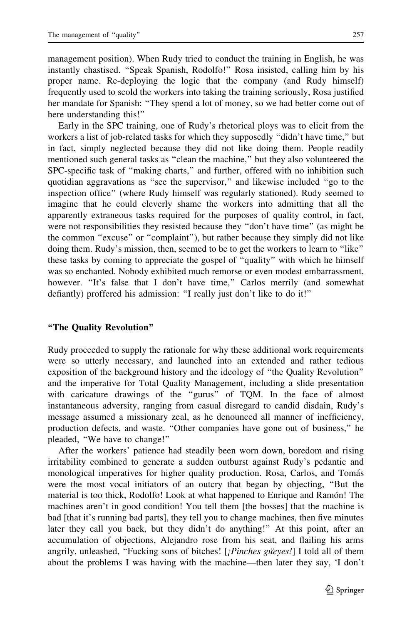management position). When Rudy tried to conduct the training in English, he was instantly chastised. ''Speak Spanish, Rodolfo!'' Rosa insisted, calling him by his proper name. Re-deploying the logic that the company (and Rudy himself) frequently used to scold the workers into taking the training seriously, Rosa justified her mandate for Spanish: ''They spend a lot of money, so we had better come out of here understanding this!''

Early in the SPC training, one of Rudy's rhetorical ploys was to elicit from the workers a list of job-related tasks for which they supposedly ''didn't have time,'' but in fact, simply neglected because they did not like doing them. People readily mentioned such general tasks as ''clean the machine,'' but they also volunteered the SPC-specific task of ''making charts,'' and further, offered with no inhibition such quotidian aggravations as ''see the supervisor,'' and likewise included ''go to the inspection office'' (where Rudy himself was regularly stationed). Rudy seemed to imagine that he could cleverly shame the workers into admitting that all the apparently extraneous tasks required for the purposes of quality control, in fact, were not responsibilities they resisted because they "don't have time" (as might be the common ''excuse'' or ''complaint''), but rather because they simply did not like doing them. Rudy's mission, then, seemed to be to get the workers to learn to ''like'' these tasks by coming to appreciate the gospel of ''quality'' with which he himself was so enchanted. Nobody exhibited much remorse or even modest embarrassment, however. "It's false that I don't have time," Carlos merrily (and somewhat defiantly) proffered his admission: ''I really just don't like to do it!''

# ''The Quality Revolution''

Rudy proceeded to supply the rationale for why these additional work requirements were so utterly necessary, and launched into an extended and rather tedious exposition of the background history and the ideology of ''the Quality Revolution'' and the imperative for Total Quality Management, including a slide presentation with caricature drawings of the "gurus" of TQM. In the face of almost instantaneous adversity, ranging from casual disregard to candid disdain, Rudy's message assumed a missionary zeal, as he denounced all manner of inefficiency, production defects, and waste. ''Other companies have gone out of business,'' he pleaded, ''We have to change!''

After the workers' patience had steadily been worn down, boredom and rising irritability combined to generate a sudden outburst against Rudy's pedantic and monological imperatives for higher quality production. Rosa, Carlos, and Tomás were the most vocal initiators of an outcry that began by objecting, ''But the material is too thick, Rodolfo! Look at what happened to Enrique and Ramón! The machines aren't in good condition! You tell them [the bosses] that the machine is bad [that it's running bad parts], they tell you to change machines, then five minutes later they call you back, but they didn't do anything!'' At this point, after an accumulation of objections, Alejandro rose from his seat, and flailing his arms angrily, unleashed, "Fucking sons of bitches! [ $i$ Pinches gueyes!] I told all of them about the problems I was having with the machine—then later they say, 'I don't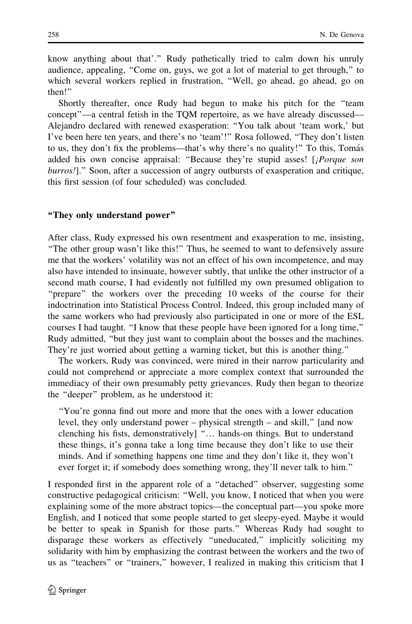know anything about that'.'' Rudy pathetically tried to calm down his unruly audience, appealing, "Come on, guys, we got a lot of material to get through," to which several workers replied in frustration, "Well, go ahead, go ahead, go on then!''

Shortly thereafter, once Rudy had begun to make his pitch for the ''team concept''—a central fetish in the TQM repertoire, as we have already discussed— Alejandro declared with renewed exasperation: ''You talk about 'team work,' but I've been here ten years, and there's no 'team'!'' Rosa followed, ''They don't listen to us, they don't fix the problems—that's why there's no quality!" To this, Tomás added his own concise appraisal: "Because they're stupid asses! [*¡Porque son* burros!].'' Soon, after a succession of angry outbursts of exasperation and critique, this first session (of four scheduled) was concluded.

# ''They only understand power''

After class, Rudy expressed his own resentment and exasperation to me, insisting, "The other group wasn't like this!" Thus, he seemed to want to defensively assure me that the workers' volatility was not an effect of his own incompetence, and may also have intended to insinuate, however subtly, that unlike the other instructor of a second math course, I had evidently not fulfilled my own presumed obligation to ''prepare'' the workers over the preceding 10 weeks of the course for their indoctrination into Statistical Process Control. Indeed, this group included many of the same workers who had previously also participated in one or more of the ESL courses I had taught. ''I know that these people have been ignored for a long time,'' Rudy admitted, ''but they just want to complain about the bosses and the machines. They're just worried about getting a warning ticket, but this is another thing.''

The workers, Rudy was convinced, were mired in their narrow particularity and could not comprehend or appreciate a more complex context that surrounded the immediacy of their own presumably petty grievances. Rudy then began to theorize the ''deeper'' problem, as he understood it:

''You're gonna find out more and more that the ones with a lower education level, they only understand power – physical strength – and skill,'' [and now clenching his fists, demonstratively] ''… hands-on things. But to understand these things, it's gonna take a long time because they don't like to use their minds. And if something happens one time and they don't like it, they won't ever forget it; if somebody does something wrong, they'll never talk to him.''

I responded first in the apparent role of a ''detached'' observer, suggesting some constructive pedagogical criticism: ''Well, you know, I noticed that when you were explaining some of the more abstract topics—the conceptual part—you spoke more English, and I noticed that some people started to get sleepy-eyed. Maybe it would be better to speak in Spanish for those parts.'' Whereas Rudy had sought to disparage these workers as effectively ''uneducated,'' implicitly soliciting my solidarity with him by emphasizing the contrast between the workers and the two of us as ''teachers'' or ''trainers,'' however, I realized in making this criticism that I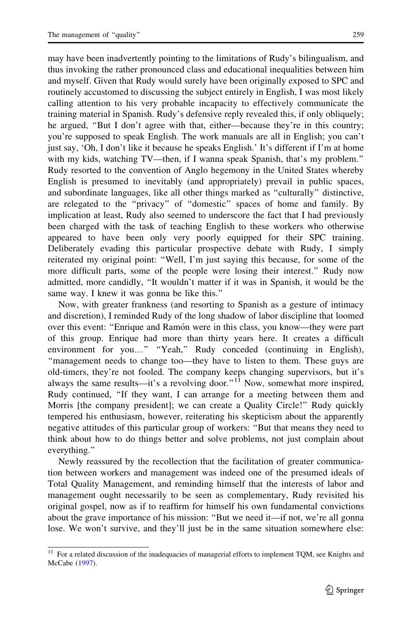may have been inadvertently pointing to the limitations of Rudy's bilingualism, and thus invoking the rather pronounced class and educational inequalities between him and myself. Given that Rudy would surely have been originally exposed to SPC and routinely accustomed to discussing the subject entirely in English, I was most likely calling attention to his very probable incapacity to effectively communicate the training material in Spanish. Rudy's defensive reply revealed this, if only obliquely; he argued, ''But I don't agree with that, either—because they're in this country; you're supposed to speak English. The work manuals are all in English; you can't just say, 'Oh, I don't like it because he speaks English.' It's different if I'm at home with my kids, watching TV—then, if I wanna speak Spanish, that's my problem." Rudy resorted to the convention of Anglo hegemony in the United States whereby English is presumed to inevitably (and appropriately) prevail in public spaces, and subordinate languages, like all other things marked as ''culturally'' distinctive, are relegated to the ''privacy'' of ''domestic'' spaces of home and family. By implication at least, Rudy also seemed to underscore the fact that I had previously been charged with the task of teaching English to these workers who otherwise appeared to have been only very poorly equipped for their SPC training. Deliberately evading this particular prospective debate with Rudy, I simply reiterated my original point: ''Well, I'm just saying this because, for some of the more difficult parts, some of the people were losing their interest.'' Rudy now admitted, more candidly, ''It wouldn't matter if it was in Spanish, it would be the same way. I knew it was gonna be like this.''

Now, with greater frankness (and resorting to Spanish as a gesture of intimacy and discretion), I reminded Rudy of the long shadow of labor discipline that loomed over this event: "Enrique and Ramón were in this class, you know—they were part of this group. Enrique had more than thirty years here. It creates a difficult environment for you..." "Yeah," Rudy conceded (continuing in English), ''management needs to change too—they have to listen to them. These guys are old-timers, they're not fooled. The company keeps changing supervisors, but it's always the same results—it's a revolving door."<sup>11</sup> Now, somewhat more inspired, Rudy continued, ''If they want, I can arrange for a meeting between them and Morris [the company president]; we can create a Quality Circle!'' Rudy quickly tempered his enthusiasm, however, reiterating his skepticism about the apparently negative attitudes of this particular group of workers: ''But that means they need to think about how to do things better and solve problems, not just complain about everything.''

Newly reassured by the recollection that the facilitation of greater communication between workers and management was indeed one of the presumed ideals of Total Quality Management, and reminding himself that the interests of labor and management ought necessarily to be seen as complementary, Rudy revisited his original gospel, now as if to reaffirm for himself his own fundamental convictions about the grave importance of his mission: ''But we need it—if not, we're all gonna lose. We won't survive, and they'll just be in the same situation somewhere else:

<sup>11</sup> For a related discussion of the inadequacies of managerial efforts to implement TQM, see Knights and McCabe [\(1997](#page-22-0)).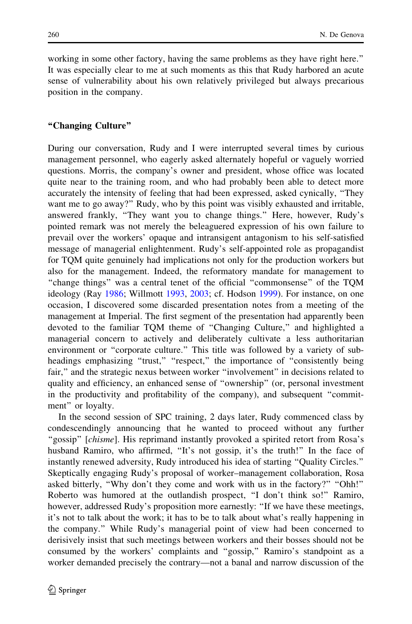working in some other factory, having the same problems as they have right here.'' It was especially clear to me at such moments as this that Rudy harbored an acute sense of vulnerability about his own relatively privileged but always precarious position in the company.

# ''Changing Culture''

During our conversation, Rudy and I were interrupted several times by curious management personnel, who eagerly asked alternately hopeful or vaguely worried questions. Morris, the company's owner and president, whose office was located quite near to the training room, and who had probably been able to detect more accurately the intensity of feeling that had been expressed, asked cynically, ''They want me to go away?'' Rudy, who by this point was visibly exhausted and irritable, answered frankly, ''They want you to change things.'' Here, however, Rudy's pointed remark was not merely the beleaguered expression of his own failure to prevail over the workers' opaque and intransigent antagonism to his self-satisfied message of managerial enlightenment. Rudy's self-appointed role as propagandist for TQM quite genuinely had implications not only for the production workers but also for the management. Indeed, the reformatory mandate for management to ''change things'' was a central tenet of the official ''commonsense'' of the TQM ideology (Ray [1986;](#page-22-0) Willmott [1993](#page-23-0), [2003;](#page-23-0) cf. Hodson [1999](#page-22-0)). For instance, on one occasion, I discovered some discarded presentation notes from a meeting of the management at Imperial. The first segment of the presentation had apparently been devoted to the familiar TQM theme of ''Changing Culture,'' and highlighted a managerial concern to actively and deliberately cultivate a less authoritarian environment or "corporate culture." This title was followed by a variety of subheadings emphasizing "trust," "respect," the importance of "consistently being fair,'' and the strategic nexus between worker ''involvement'' in decisions related to quality and efficiency, an enhanced sense of ''ownership'' (or, personal investment in the productivity and profitability of the company), and subsequent ''commitment'' or loyalty.

In the second session of SPC training, 2 days later, Rudy commenced class by condescendingly announcing that he wanted to proceed without any further "gossip" [chisme]. His reprimand instantly provoked a spirited retort from Rosa's husband Ramiro, who affirmed, "It's not gossip, it's the truth!" In the face of instantly renewed adversity, Rudy introduced his idea of starting ''Quality Circles.'' Skeptically engaging Rudy's proposal of worker–management collaboration, Rosa asked bitterly, "Why don't they come and work with us in the factory?" "Ohh!" Roberto was humored at the outlandish prospect, "I don't think so!" Ramiro, however, addressed Rudy's proposition more earnestly: ''If we have these meetings, it's not to talk about the work; it has to be to talk about what's really happening in the company.'' While Rudy's managerial point of view had been concerned to derisively insist that such meetings between workers and their bosses should not be consumed by the workers' complaints and ''gossip,'' Ramiro's standpoint as a worker demanded precisely the contrary—not a banal and narrow discussion of the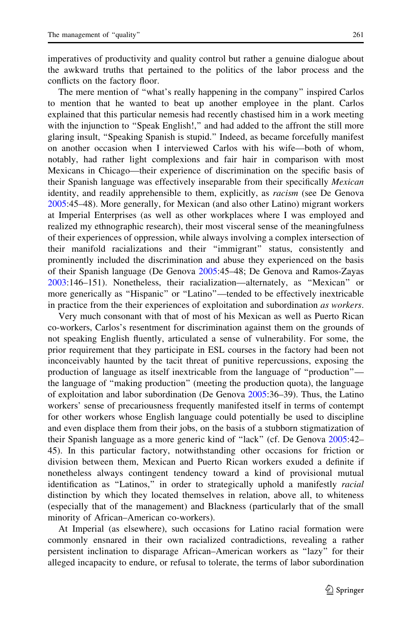imperatives of productivity and quality control but rather a genuine dialogue about the awkward truths that pertained to the politics of the labor process and the conflicts on the factory floor.

The mere mention of ''what's really happening in the company'' inspired Carlos to mention that he wanted to beat up another employee in the plant. Carlos explained that this particular nemesis had recently chastised him in a work meeting with the injunction to "Speak English!," and had added to the affront the still more glaring insult, ''Speaking Spanish is stupid.'' Indeed, as became forcefully manifest on another occasion when I interviewed Carlos with his wife—both of whom, notably, had rather light complexions and fair hair in comparison with most Mexicans in Chicago—their experience of discrimination on the specific basis of their Spanish language was effectively inseparable from their specifically *Mexican* identity, and readily apprehensible to them, explicitly, as *racism* (see De Genova [2005:](#page-21-0)45–48). More generally, for Mexican (and also other Latino) migrant workers at Imperial Enterprises (as well as other workplaces where I was employed and realized my ethnographic research), their most visceral sense of the meaningfulness of their experiences of oppression, while always involving a complex intersection of their manifold racializations and their ''immigrant'' status, consistently and prominently included the discrimination and abuse they experienced on the basis of their Spanish language (De Genova [2005:](#page-21-0)45–48; De Genova and Ramos-Zayas [2003:](#page-21-0)146–151). Nonetheless, their racialization—alternately, as ''Mexican'' or more generically as ''Hispanic'' or ''Latino''—tended to be effectively inextricable in practice from the their experiences of exploitation and subordination as workers.

Very much consonant with that of most of his Mexican as well as Puerto Rican co-workers, Carlos's resentment for discrimination against them on the grounds of not speaking English fluently, articulated a sense of vulnerability. For some, the prior requirement that they participate in ESL courses in the factory had been not inconceivably haunted by the tacit threat of punitive repercussions, exposing the production of language as itself inextricable from the language of ''production'' the language of ''making production'' (meeting the production quota), the language of exploitation and labor subordination (De Genova [2005:](#page-21-0)36–39). Thus, the Latino workers' sense of precariousness frequently manifested itself in terms of contempt for other workers whose English language could potentially be used to discipline and even displace them from their jobs, on the basis of a stubborn stigmatization of their Spanish language as a more generic kind of "lack" (cf. De Genova [2005:](#page-21-0)42-45). In this particular factory, notwithstanding other occasions for friction or division between them, Mexican and Puerto Rican workers exuded a definite if nonetheless always contingent tendency toward a kind of provisional mutual identification as "Latinos," in order to strategically uphold a manifestly *racial* distinction by which they located themselves in relation, above all, to whiteness (especially that of the management) and Blackness (particularly that of the small minority of African–American co-workers).

At Imperial (as elsewhere), such occasions for Latino racial formation were commonly ensnared in their own racialized contradictions, revealing a rather persistent inclination to disparage African–American workers as ''lazy'' for their alleged incapacity to endure, or refusal to tolerate, the terms of labor subordination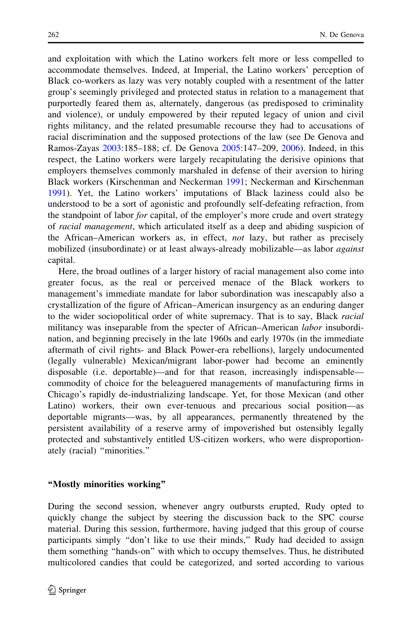and exploitation with which the Latino workers felt more or less compelled to accommodate themselves. Indeed, at Imperial, the Latino workers' perception of Black co-workers as lazy was very notably coupled with a resentment of the latter group's seemingly privileged and protected status in relation to a management that purportedly feared them as, alternately, dangerous (as predisposed to criminality and violence), or unduly empowered by their reputed legacy of union and civil rights militancy, and the related presumable recourse they had to accusations of racial discrimination and the supposed protections of the law (see De Genova and Ramos-Zayas [2003](#page-21-0):185–188; cf. De Genova [2005:](#page-21-0)147–209, [2006](#page-21-0)). Indeed, in this respect, the Latino workers were largely recapitulating the derisive opinions that employers themselves commonly marshaled in defense of their aversion to hiring Black workers (Kirschenman and Neckerman [1991](#page-22-0); Neckerman and Kirschenman [1991\)](#page-22-0). Yet, the Latino workers' imputations of Black laziness could also be understood to be a sort of agonistic and profoundly self-defeating refraction, from the standpoint of labor *for* capital, of the employer's more crude and overt strategy of racial management, which articulated itself as a deep and abiding suspicion of the African–American workers as, in effect, not lazy, but rather as precisely mobilized (insubordinate) or at least always-already mobilizable—as labor *against* capital.

Here, the broad outlines of a larger history of racial management also come into greater focus, as the real or perceived menace of the Black workers to management's immediate mandate for labor subordination was inescapably also a crystallization of the figure of African–American insurgency as an enduring danger to the wider sociopolitical order of white supremacy. That is to say, Black racial militancy was inseparable from the specter of African–American *labor* insubordination, and beginning precisely in the late 1960s and early 1970s (in the immediate aftermath of civil rights- and Black Power-era rebellions), largely undocumented (legally vulnerable) Mexican/migrant labor-power had become an eminently disposable (i.e. deportable)—and for that reason, increasingly indispensable commodity of choice for the beleaguered managements of manufacturing firms in Chicago's rapidly de-industrializing landscape. Yet, for those Mexican (and other Latino) workers, their own ever-tenuous and precarious social position—as deportable migrants—was, by all appearances, permanently threatened by the persistent availability of a reserve army of impoverished but ostensibly legally protected and substantively entitled US-citizen workers, who were disproportionately (racial) ''minorities.''

## ''Mostly minorities working''

During the second session, whenever angry outbursts erupted, Rudy opted to quickly change the subject by steering the discussion back to the SPC course material. During this session, furthermore, having judged that this group of course participants simply "don't like to use their minds," Rudy had decided to assign them something ''hands-on'' with which to occupy themselves. Thus, he distributed multicolored candies that could be categorized, and sorted according to various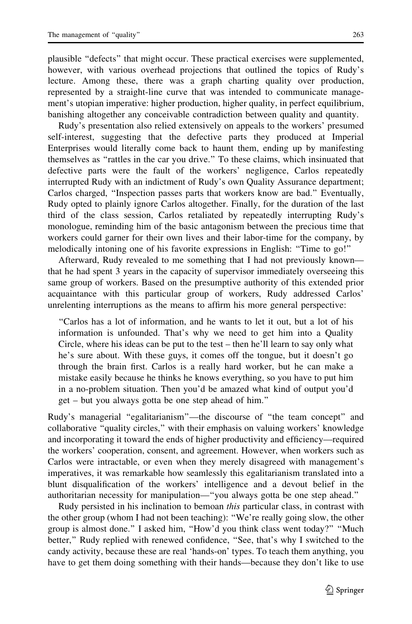plausible ''defects'' that might occur. These practical exercises were supplemented, however, with various overhead projections that outlined the topics of Rudy's lecture. Among these, there was a graph charting quality over production, represented by a straight-line curve that was intended to communicate management's utopian imperative: higher production, higher quality, in perfect equilibrium, banishing altogether any conceivable contradiction between quality and quantity.

Rudy's presentation also relied extensively on appeals to the workers' presumed self-interest, suggesting that the defective parts they produced at Imperial Enterprises would literally come back to haunt them, ending up by manifesting themselves as ''rattles in the car you drive.'' To these claims, which insinuated that defective parts were the fault of the workers' negligence, Carlos repeatedly interrupted Rudy with an indictment of Rudy's own Quality Assurance department; Carlos charged, ''Inspection passes parts that workers know are bad.'' Eventually, Rudy opted to plainly ignore Carlos altogether. Finally, for the duration of the last third of the class session, Carlos retaliated by repeatedly interrupting Rudy's monologue, reminding him of the basic antagonism between the precious time that workers could garner for their own lives and their labor-time for the company, by melodically intoning one of his favorite expressions in English: ''Time to go!''

Afterward, Rudy revealed to me something that I had not previously known that he had spent 3 years in the capacity of supervisor immediately overseeing this same group of workers. Based on the presumptive authority of this extended prior acquaintance with this particular group of workers, Rudy addressed Carlos' unrelenting interruptions as the means to affirm his more general perspective:

''Carlos has a lot of information, and he wants to let it out, but a lot of his information is unfounded. That's why we need to get him into a Quality Circle, where his ideas can be put to the test – then he'll learn to say only what he's sure about. With these guys, it comes off the tongue, but it doesn't go through the brain first. Carlos is a really hard worker, but he can make a mistake easily because he thinks he knows everything, so you have to put him in a no-problem situation. Then you'd be amazed what kind of output you'd get – but you always gotta be one step ahead of him.''

Rudy's managerial ''egalitarianism''—the discourse of ''the team concept'' and collaborative ''quality circles,'' with their emphasis on valuing workers' knowledge and incorporating it toward the ends of higher productivity and efficiency—required the workers' cooperation, consent, and agreement. However, when workers such as Carlos were intractable, or even when they merely disagreed with management's imperatives, it was remarkable how seamlessly this egalitarianism translated into a blunt disqualification of the workers' intelligence and a devout belief in the authoritarian necessity for manipulation—''you always gotta be one step ahead.''

Rudy persisted in his inclination to bemoan this particular class, in contrast with the other group (whom I had not been teaching): ''We're really going slow, the other group is almost done.'' I asked him, ''How'd you think class went today?'' ''Much better,'' Rudy replied with renewed confidence, ''See, that's why I switched to the candy activity, because these are real 'hands-on' types. To teach them anything, you have to get them doing something with their hands—because they don't like to use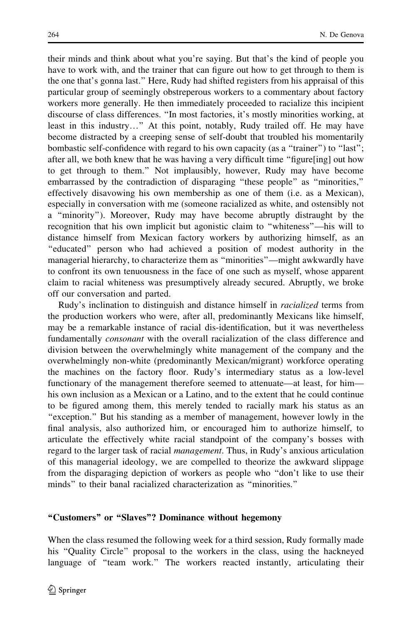their minds and think about what you're saying. But that's the kind of people you have to work with, and the trainer that can figure out how to get through to them is the one that's gonna last.'' Here, Rudy had shifted registers from his appraisal of this particular group of seemingly obstreperous workers to a commentary about factory workers more generally. He then immediately proceeded to racialize this incipient discourse of class differences. ''In most factories, it's mostly minorities working, at least in this industry…'' At this point, notably, Rudy trailed off. He may have become distracted by a creeping sense of self-doubt that troubled his momentarily bombastic self-confidence with regard to his own capacity (as a "trainer") to "last"; after all, we both knew that he was having a very difficult time ''figure[ing] out how to get through to them.'' Not implausibly, however, Rudy may have become embarrassed by the contradiction of disparaging ''these people'' as ''minorities,'' effectively disavowing his own membership as one of them (i.e. as a Mexican), especially in conversation with me (someone racialized as white, and ostensibly not a ''minority''). Moreover, Rudy may have become abruptly distraught by the recognition that his own implicit but agonistic claim to ''whiteness''—his will to distance himself from Mexican factory workers by authorizing himself, as an ''educated'' person who had achieved a position of modest authority in the managerial hierarchy, to characterize them as ''minorities''—might awkwardly have to confront its own tenuousness in the face of one such as myself, whose apparent claim to racial whiteness was presumptively already secured. Abruptly, we broke off our conversation and parted.

Rudy's inclination to distinguish and distance himself in racialized terms from the production workers who were, after all, predominantly Mexicans like himself, may be a remarkable instance of racial dis-identification, but it was nevertheless fundamentally consonant with the overall racialization of the class difference and division between the overwhelmingly white management of the company and the overwhelmingly non-white (predominantly Mexican/migrant) workforce operating the machines on the factory floor. Rudy's intermediary status as a low-level functionary of the management therefore seemed to attenuate—at least, for him his own inclusion as a Mexican or a Latino, and to the extent that he could continue to be figured among them, this merely tended to racially mark his status as an ''exception.'' But his standing as a member of management, however lowly in the final analysis, also authorized him, or encouraged him to authorize himself, to articulate the effectively white racial standpoint of the company's bosses with regard to the larger task of racial *management*. Thus, in Rudy's anxious articulation of this managerial ideology, we are compelled to theorize the awkward slippage from the disparaging depiction of workers as people who ''don't like to use their minds'' to their banal racialized characterization as ''minorities.''

## "Customers" or "Slaves"? Dominance without hegemony

When the class resumed the following week for a third session, Rudy formally made his ''Quality Circle'' proposal to the workers in the class, using the hackneyed language of ''team work.'' The workers reacted instantly, articulating their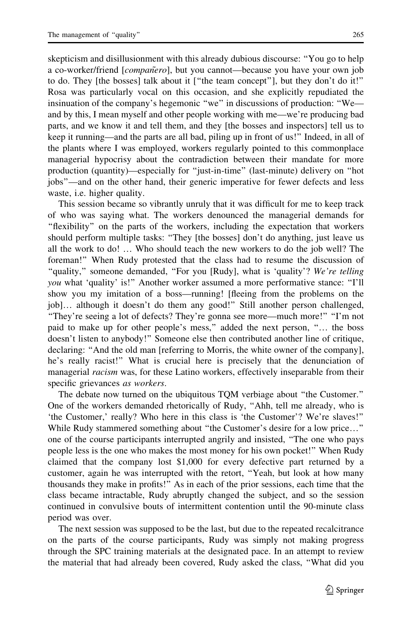skepticism and disillusionment with this already dubious discourse: ''You go to help a co-worker/friend [*compañero*], but you cannot—because you have your own job to do. They [the bosses] talk about it [''the team concept''], but they don't do it!'' Rosa was particularly vocal on this occasion, and she explicitly repudiated the insinuation of the company's hegemonic "we" in discussions of production: "We and by this, I mean myself and other people working with me—we're producing bad parts, and we know it and tell them, and they [the bosses and inspectors] tell us to keep it running—and the parts are all bad, piling up in front of us!'' Indeed, in all of the plants where I was employed, workers regularly pointed to this commonplace managerial hypocrisy about the contradiction between their mandate for more production (quantity)—especially for ''just-in-time'' (last-minute) delivery on ''hot jobs''—and on the other hand, their generic imperative for fewer defects and less waste, i.e. higher quality.

This session became so vibrantly unruly that it was difficult for me to keep track of who was saying what. The workers denounced the managerial demands for ''flexibility'' on the parts of the workers, including the expectation that workers should perform multiple tasks: ''They [the bosses] don't do anything, just leave us all the work to do! … Who should teach the new workers to do the job well? The foreman!'' When Rudy protested that the class had to resume the discussion of "quality," someone demanded, "For you [Rudy], what is 'quality'? We're telling you what 'quality' is!'' Another worker assumed a more performative stance: ''I'll show you my imitation of a boss—running! [fleeing from the problems on the job]... although it doesn't do them any good!" Still another person challenged, ''They're seeing a lot of defects? They're gonna see more—much more!'' ''I'm not paid to make up for other people's mess," added the next person, "... the boss doesn't listen to anybody!'' Someone else then contributed another line of critique, declaring: ''And the old man [referring to Morris, the white owner of the company], he's really racist!'' What is crucial here is precisely that the denunciation of managerial *racism* was, for these Latino workers, effectively inseparable from their specific grievances *as workers*.

The debate now turned on the ubiquitous TQM verbiage about ''the Customer.'' One of the workers demanded rhetorically of Rudy, ''Ahh, tell me already, who is 'the Customer,' really? Who here in this class is 'the Customer'? We're slaves!'' While Rudy stammered something about "the Customer's desire for a low price..." one of the course participants interrupted angrily and insisted, ''The one who pays people less is the one who makes the most money for his own pocket!'' When Rudy claimed that the company lost \$1,000 for every defective part returned by a customer, again he was interrupted with the retort, ''Yeah, but look at how many thousands they make in profits!'' As in each of the prior sessions, each time that the class became intractable, Rudy abruptly changed the subject, and so the session continued in convulsive bouts of intermittent contention until the 90-minute class period was over.

The next session was supposed to be the last, but due to the repeated recalcitrance on the parts of the course participants, Rudy was simply not making progress through the SPC training materials at the designated pace. In an attempt to review the material that had already been covered, Rudy asked the class, ''What did you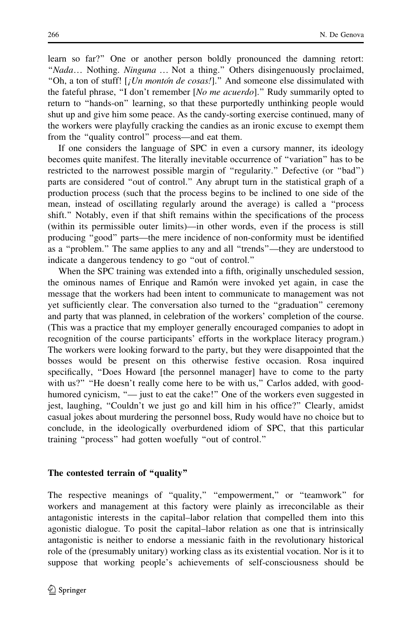learn so far?'' One or another person boldly pronounced the damning retort: "Nada... Nothing. Ninguna ... Not a thing." Others disingenuously proclaimed, "Oh, a ton of stuff! [ $i$ Un monton de cosas!]." And someone else dissimulated with the fateful phrase, "I don't remember  $[No \ me \ acuerdo]$ ." Rudy summarily opted to return to ''hands-on'' learning, so that these purportedly unthinking people would shut up and give him some peace. As the candy-sorting exercise continued, many of the workers were playfully cracking the candies as an ironic excuse to exempt them from the ''quality control'' process—and eat them.

If one considers the language of SPC in even a cursory manner, its ideology becomes quite manifest. The literally inevitable occurrence of ''variation'' has to be restricted to the narrowest possible margin of ''regularity.'' Defective (or ''bad'') parts are considered ''out of control.'' Any abrupt turn in the statistical graph of a production process (such that the process begins to be inclined to one side of the mean, instead of oscillating regularly around the average) is called a ''process shift.'' Notably, even if that shift remains within the specifications of the process (within its permissible outer limits)—in other words, even if the process is still producing ''good'' parts—the mere incidence of non-conformity must be identified as a ''problem.'' The same applies to any and all ''trends''—they are understood to indicate a dangerous tendency to go ''out of control.''

When the SPC training was extended into a fifth, originally unscheduled session, the ominous names of Enrique and Ramón were invoked yet again, in case the message that the workers had been intent to communicate to management was not yet sufficiently clear. The conversation also turned to the ''graduation'' ceremony and party that was planned, in celebration of the workers' completion of the course. (This was a practice that my employer generally encouraged companies to adopt in recognition of the course participants' efforts in the workplace literacy program.) The workers were looking forward to the party, but they were disappointed that the bosses would be present on this otherwise festive occasion. Rosa inquired specifically, ''Does Howard [the personnel manager] have to come to the party with us?" "He doesn't really come here to be with us," Carlos added, with goodhumored cynicism, "— just to eat the cake!" One of the workers even suggested in jest, laughing, ''Couldn't we just go and kill him in his office?'' Clearly, amidst casual jokes about murdering the personnel boss, Rudy would have no choice but to conclude, in the ideologically overburdened idiom of SPC, that this particular training ''process'' had gotten woefully ''out of control.''

# The contested terrain of "quality"

The respective meanings of "quality," "empowerment," or "teamwork" for workers and management at this factory were plainly as irreconcilable as their antagonistic interests in the capital–labor relation that compelled them into this agonistic dialogue. To posit the capital–labor relation as one that is intrinsically antagonistic is neither to endorse a messianic faith in the revolutionary historical role of the (presumably unitary) working class as its existential vocation. Nor is it to suppose that working people's achievements of self-consciousness should be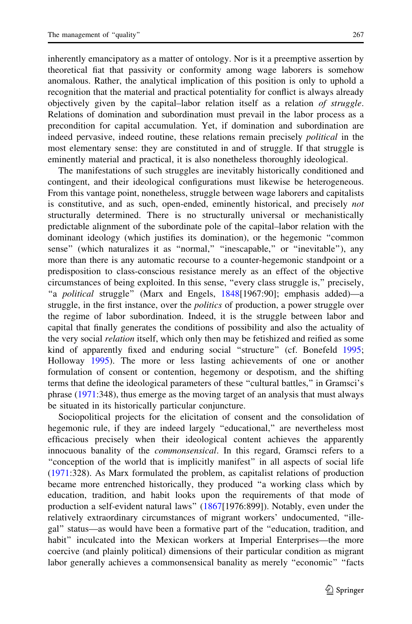inherently emancipatory as a matter of ontology. Nor is it a preemptive assertion by theoretical fiat that passivity or conformity among wage laborers is somehow anomalous. Rather, the analytical implication of this position is only to uphold a recognition that the material and practical potentiality for conflict is always already objectively given by the capital–labor relation itself as a relation of struggle. Relations of domination and subordination must prevail in the labor process as a precondition for capital accumulation. Yet, if domination and subordination are indeed pervasive, indeed routine, these relations remain precisely political in the most elementary sense: they are constituted in and of struggle. If that struggle is eminently material and practical, it is also nonetheless thoroughly ideological.

The manifestations of such struggles are inevitably historically conditioned and contingent, and their ideological configurations must likewise be heterogeneous. From this vantage point, nonetheless, struggle between wage laborers and capitalists is constitutive, and as such, open-ended, eminently historical, and precisely not structurally determined. There is no structurally universal or mechanistically predictable alignment of the subordinate pole of the capital–labor relation with the dominant ideology (which justifies its domination), or the hegemonic ''common sense" (which naturalizes it as "normal," "inescapable," or "inevitable"), any more than there is any automatic recourse to a counter-hegemonic standpoint or a predisposition to class-conscious resistance merely as an effect of the objective circumstances of being exploited. In this sense, ''every class struggle is,'' precisely, "a political struggle" (Marx and Engels, [1848\[](#page-22-0)1967:90]; emphasis added)—a struggle, in the first instance, over the *politics* of production, a power struggle over the regime of labor subordination. Indeed, it is the struggle between labor and capital that finally generates the conditions of possibility and also the actuality of the very social *relation* itself, which only then may be fetishized and reified as some kind of apparently fixed and enduring social ''structure'' (cf. Bonefeld [1995;](#page-21-0) Holloway [1995\)](#page-22-0). The more or less lasting achievements of one or another formulation of consent or contention, hegemony or despotism, and the shifting terms that define the ideological parameters of these ''cultural battles,'' in Gramsci's phrase ([1971:](#page-22-0)348), thus emerge as the moving target of an analysis that must always be situated in its historically particular conjuncture.

Sociopolitical projects for the elicitation of consent and the consolidation of hegemonic rule, if they are indeed largely ''educational,'' are nevertheless most efficacious precisely when their ideological content achieves the apparently innocuous banality of the commonsensical. In this regard, Gramsci refers to a ''conception of the world that is implicitly manifest'' in all aspects of social life [\(1971](#page-22-0):328). As Marx formulated the problem, as capitalist relations of production became more entrenched historically, they produced ''a working class which by education, tradition, and habit looks upon the requirements of that mode of production a self-evident natural laws'' ([1867\[](#page-22-0)1976:899]). Notably, even under the relatively extraordinary circumstances of migrant workers' undocumented, ''illegal'' status—as would have been a formative part of the ''education, tradition, and habit" inculcated into the Mexican workers at Imperial Enterprises—the more coercive (and plainly political) dimensions of their particular condition as migrant labor generally achieves a commonsensical banality as merely "economic" "facts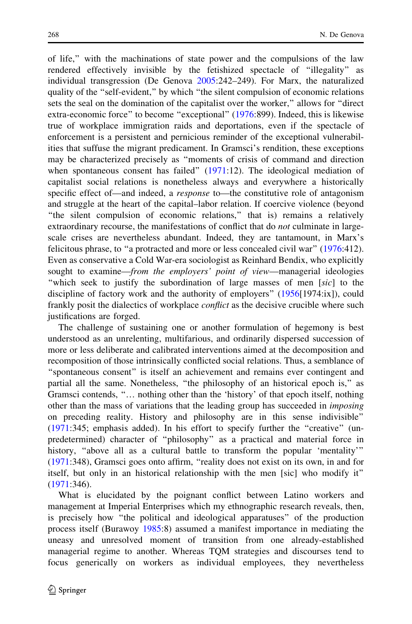of life,'' with the machinations of state power and the compulsions of the law rendered effectively invisible by the fetishized spectacle of ''illegality'' as individual transgression (De Genova [2005](#page-21-0):242–249). For Marx, the naturalized quality of the ''self-evident,'' by which ''the silent compulsion of economic relations sets the seal on the domination of the capitalist over the worker,'' allows for ''direct extra-economic force" to become "exceptional" [\(1976:](#page-22-0)899). Indeed, this is likewise true of workplace immigration raids and deportations, even if the spectacle of enforcement is a persistent and pernicious reminder of the exceptional vulnerabilities that suffuse the migrant predicament. In Gramsci's rendition, these exceptions may be characterized precisely as ''moments of crisis of command and direction when spontaneous consent has failed" ([1971:](#page-22-0)12). The ideological mediation of capitalist social relations is nonetheless always and everywhere a historically specific effect of—and indeed, a *response* to—the constitutive role of antagonism and struggle at the heart of the capital–labor relation. If coercive violence (beyond "the silent compulsion of economic relations," that is) remains a relatively extraordinary recourse, the manifestations of conflict that do *not* culminate in largescale crises are nevertheless abundant. Indeed, they are tantamount, in Marx's felicitous phrase, to ''a protracted and more or less concealed civil war'' ([1976:](#page-22-0)412). Even as conservative a Cold War-era sociologist as Reinhard Bendix, who explicitly sought to examine—from the employers' point of view—managerial ideologies "which seek to justify the subordination of large masses of men [sic] to the discipline of factory work and the authority of employers'' ([1956\[](#page-21-0)1974:ix]), could frankly posit the dialectics of workplace *conflict* as the decisive crucible where such justifications are forged.

The challenge of sustaining one or another formulation of hegemony is best understood as an unrelenting, multifarious, and ordinarily dispersed succession of more or less deliberate and calibrated interventions aimed at the decomposition and recomposition of those intrinsically conflicted social relations. Thus, a semblance of ''spontaneous consent'' is itself an achievement and remains ever contingent and partial all the same. Nonetheless, ''the philosophy of an historical epoch is,'' as Gramsci contends, ''… nothing other than the 'history' of that epoch itself, nothing other than the mass of variations that the leading group has succeeded in imposing on preceding reality. History and philosophy are in this sense indivisible'' [\(1971](#page-22-0):345; emphasis added). In his effort to specify further the ''creative'' (unpredetermined) character of ''philosophy'' as a practical and material force in history, "above all as a cultural battle to transform the popular 'mentality'" [\(1971](#page-22-0):348), Gramsci goes onto affirm, ''reality does not exist on its own, in and for itself, but only in an historical relationship with the men [sic] who modify it'' [\(1971](#page-22-0):346).

What is elucidated by the poignant conflict between Latino workers and management at Imperial Enterprises which my ethnographic research reveals, then, is precisely how ''the political and ideological apparatuses'' of the production process itself (Burawoy [1985](#page-21-0):8) assumed a manifest importance in mediating the uneasy and unresolved moment of transition from one already-established managerial regime to another. Whereas TQM strategies and discourses tend to focus generically on workers as individual employees, they nevertheless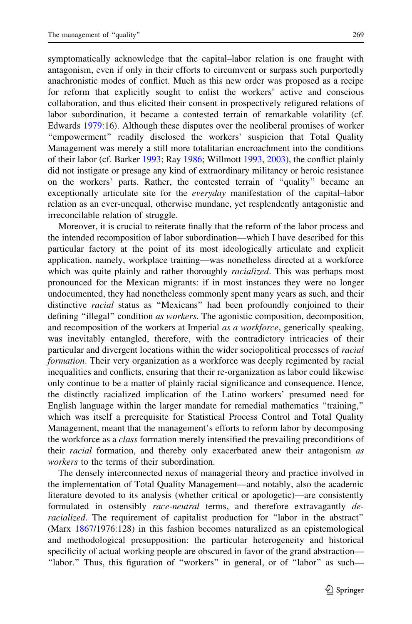symptomatically acknowledge that the capital–labor relation is one fraught with antagonism, even if only in their efforts to circumvent or surpass such purportedly anachronistic modes of conflict. Much as this new order was proposed as a recipe for reform that explicitly sought to enlist the workers' active and conscious collaboration, and thus elicited their consent in prospectively refigured relations of labor subordination, it became a contested terrain of remarkable volatility (cf. Edwards [1979:](#page-21-0)16). Although these disputes over the neoliberal promises of worker "empowerment" readily disclosed the workers' suspicion that Total Quality Management was merely a still more totalitarian encroachment into the conditions of their labor (cf. Barker [1993;](#page-21-0) Ray [1986;](#page-22-0) Willmott [1993,](#page-23-0) [2003\)](#page-23-0), the conflict plainly did not instigate or presage any kind of extraordinary militancy or heroic resistance on the workers' parts. Rather, the contested terrain of ''quality'' became an exceptionally articulate site for the *everyday* manifestation of the capital–labor relation as an ever-unequal, otherwise mundane, yet resplendently antagonistic and irreconcilable relation of struggle.

Moreover, it is crucial to reiterate finally that the reform of the labor process and the intended recomposition of labor subordination—which I have described for this particular factory at the point of its most ideologically articulate and explicit application, namely, workplace training—was nonetheless directed at a workforce which was quite plainly and rather thoroughly *racialized*. This was perhaps most pronounced for the Mexican migrants: if in most instances they were no longer undocumented, they had nonetheless commonly spent many years as such, and their distinctive *racial* status as "Mexicans" had been profoundly conjoined to their defining "illegal" condition as workers. The agonistic composition, decomposition, and recomposition of the workers at Imperial *as a workforce*, generically speaking, was inevitably entangled, therefore, with the contradictory intricacies of their particular and divergent locations within the wider sociopolitical processes of racial formation. Their very organization as a workforce was deeply regimented by racial inequalities and conflicts, ensuring that their re-organization as labor could likewise only continue to be a matter of plainly racial significance and consequence. Hence, the distinctly racialized implication of the Latino workers' presumed need for English language within the larger mandate for remedial mathematics ''training,'' which was itself a prerequisite for Statistical Process Control and Total Quality Management, meant that the management's efforts to reform labor by decomposing the workforce as a class formation merely intensified the prevailing preconditions of their *racial* formation, and thereby only exacerbated anew their antagonism as workers to the terms of their subordination.

The densely interconnected nexus of managerial theory and practice involved in the implementation of Total Quality Management—and notably, also the academic literature devoted to its analysis (whether critical or apologetic)—are consistently formulated in ostensibly race-neutral terms, and therefore extravagantly deracialized. The requirement of capitalist production for "labor in the abstract" (Marx [1867/](#page-22-0)1976:128) in this fashion becomes naturalized as an epistemological and methodological presupposition: the particular heterogeneity and historical specificity of actual working people are obscured in favor of the grand abstraction— ''labor.'' Thus, this figuration of ''workers'' in general, or of ''labor'' as such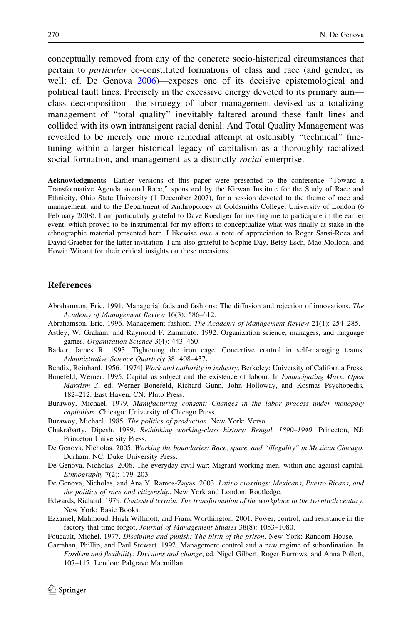<span id="page-21-0"></span>conceptually removed from any of the concrete socio-historical circumstances that pertain to particular co-constituted formations of class and race (and gender, as well; cf. De Genova 2006)—exposes one of its decisive epistemological and political fault lines. Precisely in the excessive energy devoted to its primary aim class decomposition—the strategy of labor management devised as a totalizing management of ''total quality'' inevitably faltered around these fault lines and collided with its own intransigent racial denial. And Total Quality Management was revealed to be merely one more remedial attempt at ostensibly ''technical'' finetuning within a larger historical legacy of capitalism as a thoroughly racialized social formation, and management as a distinctly *racial* enterprise.

Acknowledgments Earlier versions of this paper were presented to the conference ''Toward a Transformative Agenda around Race,'' sponsored by the Kirwan Institute for the Study of Race and Ethnicity, Ohio State University (1 December 2007), for a session devoted to the theme of race and management, and to the Department of Anthropology at Goldsmiths College, University of London (6 February 2008). I am particularly grateful to Dave Roediger for inviting me to participate in the earlier event, which proved to be instrumental for my efforts to conceptualize what was finally at stake in the ethnographic material presented here. I likewise owe a note of appreciation to Roger Sansi-Roca and David Graeber for the latter invitation. I am also grateful to Sophie Day, Betsy Esch, Mao Mollona, and Howie Winant for their critical insights on these occasions.

### References

- Abrahamson, Eric. 1991. Managerial fads and fashions: The diffusion and rejection of innovations. The Academy of Management Review 16(3): 586–612.
- Abrahamson, Eric. 1996. Management fashion. The Academy of Management Review 21(1): 254–285.
- Astley, W. Graham, and Raymond F. Zammuto. 1992. Organization science, managers, and language games. Organization Science 3(4): 443–460.
- Barker, James R. 1993. Tightening the iron cage: Concertive control in self-managing teams. Administrative Science Quarterly 38: 408–437.
- Bendix, Reinhard. 1956. [1974] Work and authority in industry. Berkeley: University of California Press. Bonefeld, Werner. 1995. Capital as subject and the existence of labour. In *Emancipating Marx: Open*
- Marxism 3, ed. Werner Bonefeld, Richard Gunn, John Holloway, and Kosmas Psychopedis, 182–212. East Haven, CN: Pluto Press.
- Burawoy, Michael. 1979. Manufacturing consent: Changes in the labor process under monopoly capitalism. Chicago: University of Chicago Press.
- Burawoy, Michael. 1985. The politics of production. New York: Verso.
- Chakrabarty, Dipesh. 1989. Rethinking working-class history: Bengal, 1890–1940. Princeton, NJ: Princeton University Press.
- De Genova, Nicholas. 2005. Working the boundaries: Race, space, and ''illegality'' in Mexican Chicago. Durham, NC: Duke University Press.
- De Genova, Nicholas. 2006. The everyday civil war: Migrant working men, within and against capital. Ethnography 7(2): 179–203.
- De Genova, Nicholas, and Ana Y. Ramos-Zayas. 2003. Latino crossings: Mexicans, Puerto Ricans, and the politics of race and citizenship. New York and London: Routledge.
- Edwards, Richard. 1979. Contested terrain: The transformation of the workplace in the twentieth century. New York: Basic Books.
- Ezzamel, Mahmoud, Hugh Willmott, and Frank Worthington. 2001. Power, control, and resistance in the factory that time forgot. Journal of Management Studies 38(8): 1053–1080.

Foucault, Michel. 1977. Discipline and punish: The birth of the prison. New York: Random House.

Garrahan, Phillip, and Paul Stewart. 1992. Management control and a new regime of subordination. In Fordism and flexibility: Divisions and change, ed. Nigel Gilbert, Roger Burrows, and Anna Pollert, 107–117. London: Palgrave Macmillan.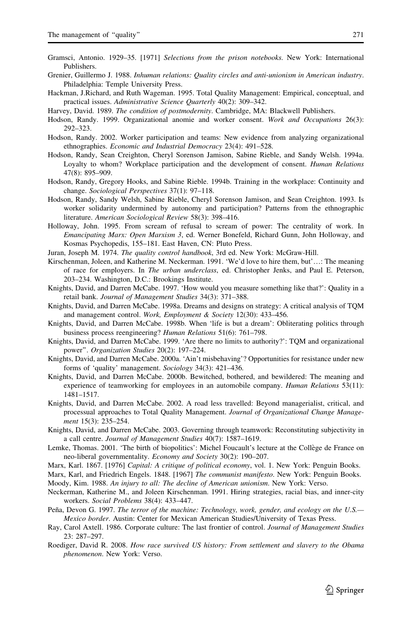- <span id="page-22-0"></span>Gramsci, Antonio. 1929–35. [1971] Selections from the prison notebooks. New York: International **Publishers.**
- Grenier, Guillermo J. 1988. Inhuman relations: Quality circles and anti-unionism in American industry. Philadelphia: Temple University Press.
- Hackman, J.Richard, and Ruth Wageman. 1995. Total Quality Management: Empirical, conceptual, and practical issues. Administrative Science Quarterly 40(2): 309–342.
- Harvey, David. 1989. The condition of postmodernity. Cambridge, MA: Blackwell Publishers.
- Hodson, Randy. 1999. Organizational anomie and worker consent. Work and Occupations 26(3): 292–323.
- Hodson, Randy. 2002. Worker participation and teams: New evidence from analyzing organizational ethnographies. Economic and Industrial Democracy 23(4): 491–528.
- Hodson, Randy, Sean Creighton, Cheryl Sorenson Jamison, Sabine Rieble, and Sandy Welsh. 1994a. Loyalty to whom? Workplace participation and the development of consent. Human Relations 47(8): 895–909.
- Hodson, Randy, Gregory Hooks, and Sabine Rieble. 1994b. Training in the workplace: Continuity and change. Sociological Perspectives 37(1): 97–118.
- Hodson, Randy, Sandy Welsh, Sabine Rieble, Cheryl Sorenson Jamison, and Sean Creighton. 1993. Is worker solidarity undermined by autonomy and participation? Patterns from the ethnographic literature. American Sociological Review 58(3): 398–416.
- Holloway, John. 1995. From scream of refusal to scream of power: The centrality of work. In Emancipating Marx: Open Marxism 3, ed. Werner Bonefeld, Richard Gunn, John Holloway, and Kosmas Psychopedis, 155–181. East Haven, CN: Pluto Press.
- Juran, Joseph M. 1974. The quality control handbook, 3rd ed. New York: McGraw-Hill.
- Kirschenman, Joleen, and Katherine M. Neckerman. 1991. 'We'd love to hire them, but'…: The meaning of race for employers. In The urban underclass, ed. Christopher Jenks, and Paul E. Peterson, 203–234. Washington, D.C.: Brookings Institute.
- Knights, David, and Darren McCabe. 1997. 'How would you measure something like that?': Quality in a retail bank. Journal of Management Studies 34(3): 371–388.
- Knights, David, and Darren McCabe. 1998a. Dreams and designs on strategy: A critical analysis of TQM and management control. Work, Employment & Society 12(30): 433–456.
- Knights, David, and Darren McCabe. 1998b. When 'life is but a dream': Obliterating politics through business process reengineering? Human Relations 51(6): 761–798.
- Knights, David, and Darren McCabe. 1999. 'Are there no limits to authority?': TQM and organizational power''. Organization Studies 20(2): 197–224.
- Knights, David, and Darren McCabe. 2000a. 'Ain't misbehaving'? Opportunities for resistance under new forms of 'quality' management. Sociology 34(3): 421–436.
- Knights, David, and Darren McCabe. 2000b. Bewitched, bothered, and bewildered: The meaning and experience of teamworking for employees in an automobile company. Human Relations 53(11): 1481–1517.
- Knights, David, and Darren McCabe. 2002. A road less travelled: Beyond managerialist, critical, and processual approaches to Total Quality Management. Journal of Organizational Change Management 15(3): 235–254.
- Knights, David, and Darren McCabe. 2003. Governing through teamwork: Reconstituting subjectivity in a call centre. Journal of Management Studies 40(7): 1587–1619.
- Lemke, Thomas. 2001. 'The birth of biopolitics': Michel Foucault's lecture at the Collège de France on neo-liberal governmentality. Economy and Society 30(2): 190–207.
- Marx, Karl. 1867. [1976] Capital: A critique of political economy, vol. 1. New York: Penguin Books.
- Marx, Karl, and Friedrich Engels. 1848. [1967] The communist manifesto. New York: Penguin Books.

Moody, Kim. 1988. An injury to all: The decline of American unionism. New York: Verso.

- Neckerman, Katherine M., and Joleen Kirschenman. 1991. Hiring strategies, racial bias, and inner-city workers. Social Problems 38(4): 433–447.
- Peña, Devon G. 1997. The terror of the machine: Technology, work, gender, and ecology on the U.S.— Mexico border. Austin: Center for Mexican American Studies/University of Texas Press.
- Ray, Carol Axtell. 1986. Corporate culture: The last frontier of control. Journal of Management Studies 23: 287–297.
- Roediger, David R. 2008. How race survived US history: From settlement and slavery to the Obama phenomenon. New York: Verso.